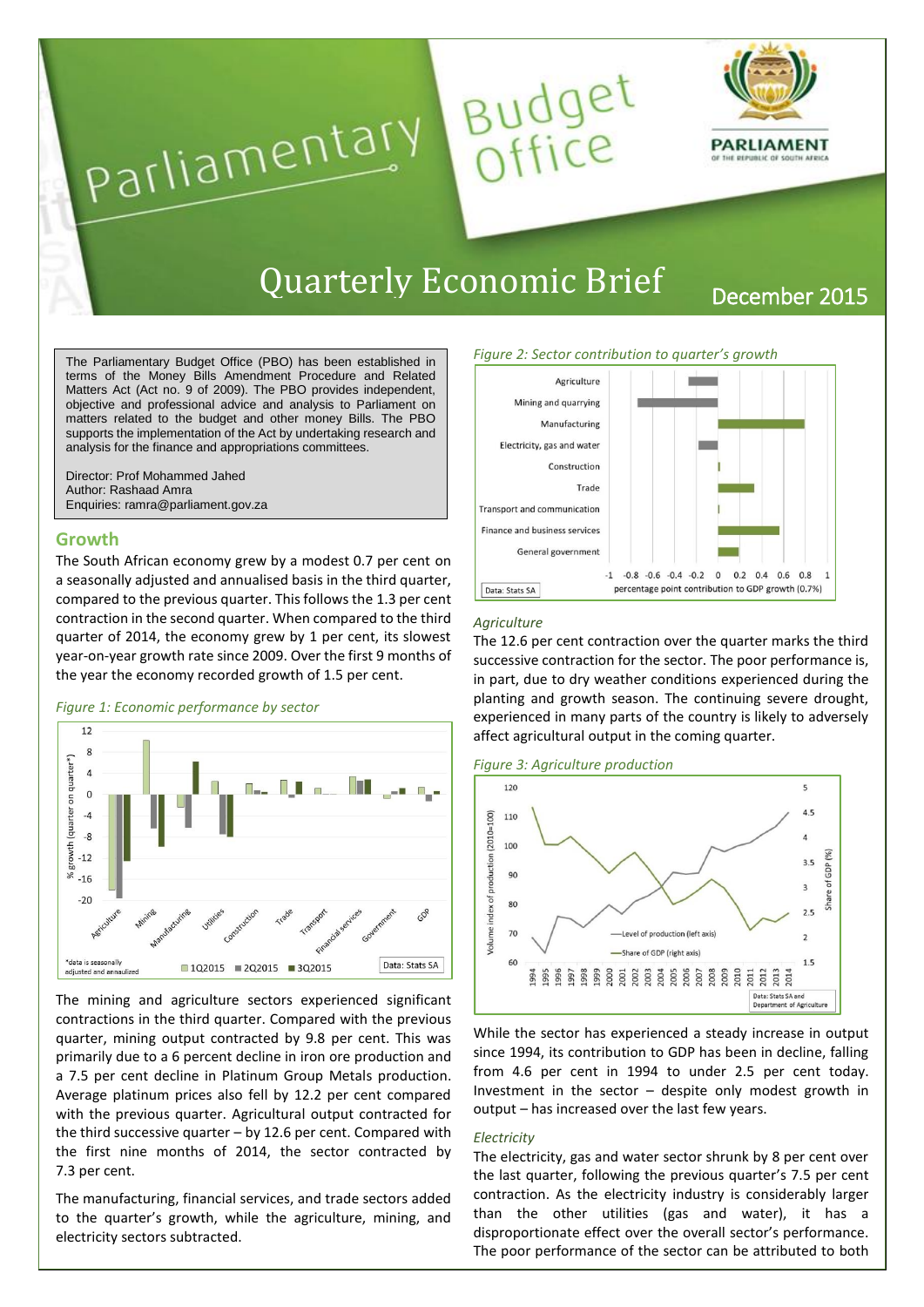

# Quarterly Economic Brief December 2015

Budget<br>Office

#### The Parliamentary Budget Office (PBO) has been established in terms of the Money Bills Amendment Procedure and Related Matters Act (Act no. 9 of 2009). The PBO provides independent, objective and professional advice and analysis to Parliament on matters related to the budget and other money Bills. The PBO supports the implementation of the Act by undertaking research and analysis for the finance and appropriations committees.

Parliamentary

Director: Prof Mohammed Jahed Author: Rashaad Amra Enquiries: ramra@parliament.gov.za

## **Growth**

The South African economy grew by a modest 0.7 per cent on a seasonally adjusted and annualised basis in the third quarter, compared to the previous quarter. This follows the 1.3 per cent contraction in the second quarter. When compared to the third quarter of 2014, the economy grew by 1 per cent, its slowest year-on-year growth rate since 2009. Over the first 9 months of the year the economy recorded growth of 1.5 per cent.

## *Figure 1: Economic performance by sector*



The mining and agriculture sectors experienced significant contractions in the third quarter. Compared with the previous quarter, mining output contracted by 9.8 per cent. This was primarily due to a 6 percent decline in iron ore production and a 7.5 per cent decline in Platinum Group Metals production. Average platinum prices also fell by 12.2 per cent compared with the previous quarter. Agricultural output contracted for the third successive quarter – by 12.6 per cent. Compared with the first nine months of 2014, the sector contracted by 7.3 per cent.

The manufacturing, financial services, and trade sectors added to the quarter's growth, while the agriculture, mining, and electricity sectors subtracted.



### *Agriculture*

The 12.6 per cent contraction over the quarter marks the third successive contraction for the sector. The poor performance is, in part, due to dry weather conditions experienced during the planting and growth season. The continuing severe drought, experienced in many parts of the country is likely to adversely affect agricultural output in the coming quarter.

*Figure 3: Agriculture production*



While the sector has experienced a steady increase in output since 1994, its contribution to GDP has been in decline, falling from 4.6 per cent in 1994 to under 2.5 per cent today. Investment in the sector – despite only modest growth in output – has increased over the last few years.

#### *Electricity*

The electricity, gas and water sector shrunk by 8 per cent over the last quarter, following the previous quarter's 7.5 per cent contraction. As the electricity industry is considerably larger than the other utilities (gas and water), it has a disproportionate effect over the overall sector's performance. The poor performance of the sector can be attributed to both